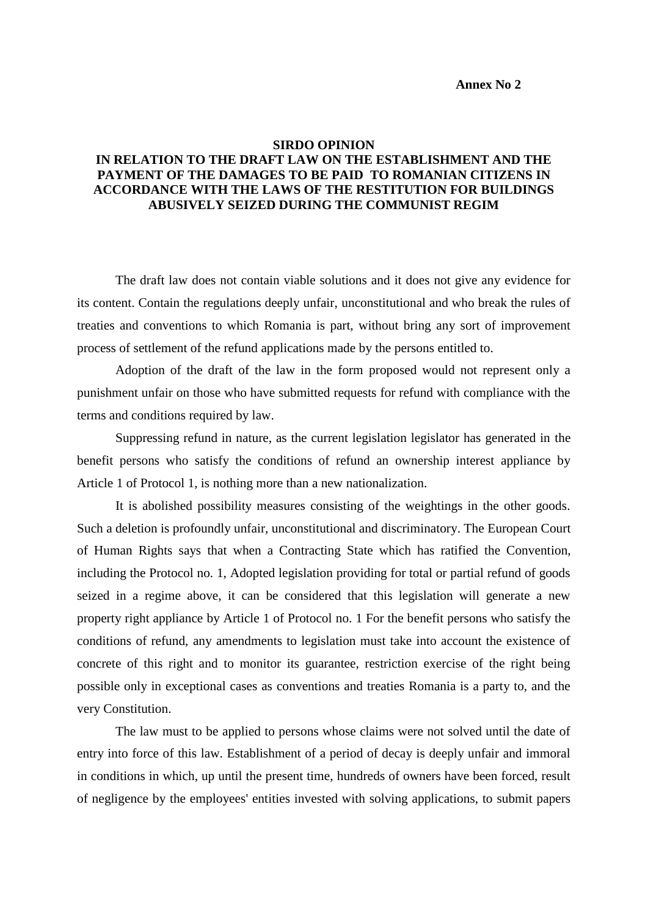## **Annex No 2**

## **SIRDO OPINION IN RELATION TO THE DRAFT LAW ON THE ESTABLISHMENT AND THE PAYMENT OF THE DAMAGES TO BE PAID TO ROMANIAN CITIZENS IN ACCORDANCE WITH THE LAWS OF THE RESTITUTION FOR BUILDINGS ABUSIVELY SEIZED DURING THE COMMUNIST REGIM**

The draft law does not contain viable solutions and it does not give any evidence for its content. Contain the regulations deeply unfair, unconstitutional and who break the rules of treaties and conventions to which Romania is part, without bring any sort of improvement process of settlement of the refund applications made by the persons entitled to.

Adoption of the draft of the law in the form proposed would not represent only a punishment unfair on those who have submitted requests for refund with compliance with the terms and conditions required by law.

Suppressing refund in nature, as the current legislation legislator has generated in the benefit persons who satisfy the conditions of refund an ownership interest appliance by Article 1 of Protocol 1, is nothing more than a new nationalization.

It is abolished possibility measures consisting of the weightings in the other goods. Such a deletion is profoundly unfair, unconstitutional and discriminatory. The European Court of Human Rights says that when a Contracting State which has ratified the Convention, including the Protocol no. 1, Adopted legislation providing for total or partial refund of goods seized in a regime above, it can be considered that this legislation will generate a new property right appliance by Article 1 of Protocol no. 1 For the benefit persons who satisfy the conditions of refund, any amendments to legislation must take into account the existence of concrete of this right and to monitor its guarantee, restriction exercise of the right being possible only in exceptional cases as conventions and treaties Romania is a party to, and the very Constitution.

The law must to be applied to persons whose claims were not solved until the date of entry into force of this law. Establishment of a period of decay is deeply unfair and immoral in conditions in which, up until the present time, hundreds of owners have been forced, result of negligence by the employees' entities invested with solving applications, to submit papers